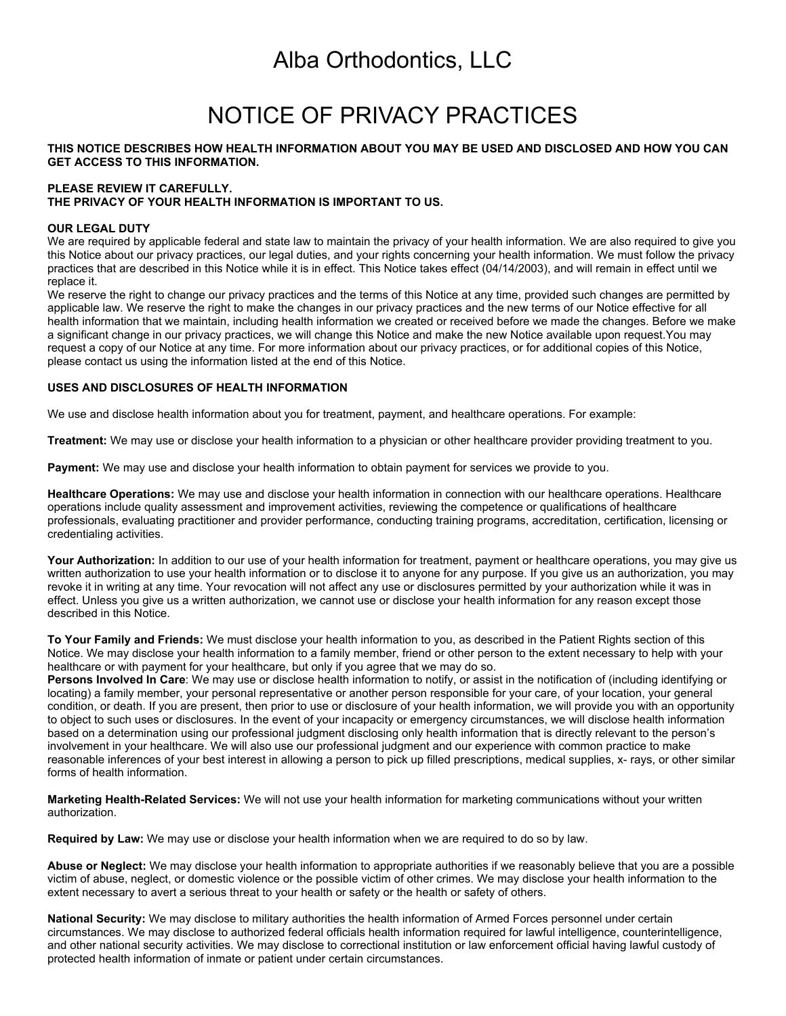# Alba Orthodontics, LLC

## NOTICE OF PRIVACY PRACTICES

#### **THIS NOTICE DESCRIBES HOW HEALTH INFORMATION ABOUT YOU MAY BE USED AND DISCLOSED AND HOW YOU CAN GET ACCESS TO THIS INFORMATION.**

#### **PLEASE REVIEW IT CAREFULLY. THE PRIVACY OF YOUR HEALTH INFORMATION IS IMPORTANT TO US.**

## **OUR LEGAL DUTY**

We are required by applicable federal and state law to maintain the privacy of your health information. We are also required to give you this Notice about our privacy practices, our legal duties, and your rights concerning your health information. We must follow the privacy practices that are described in this Notice while it is in effect. This Notice takes effect (04/14/2003), and will remain in effect until we replace it.

We reserve the right to change our privacy practices and the terms of this Notice at any time, provided such changes are permitted by applicable law. We reserve the right to make the changes in our privacy practices and the new terms of our Notice effective for all health information that we maintain, including health information we created or received before we made the changes. Before we make a significant change in our privacy practices, we will change this Notice and make the new Notice available upon request.You may request a copy of our Notice at any time. For more information about our privacy practices, or for additional copies of this Notice, please contact us using the information listed at the end of this Notice.

## **USES AND DISCLOSURES OF HEALTH INFORMATION**

We use and disclose health information about you for treatment, payment, and healthcare operations. For example:

**Treatment:** We may use or disclose your health information to a physician or other healthcare provider providing treatment to you.

**Payment:** We may use and disclose your health information to obtain payment for services we provide to you.

**Healthcare Operations:** We may use and disclose your health information in connection with our healthcare operations. Healthcare operations include quality assessment and improvement activities, reviewing the competence or qualifications of healthcare professionals, evaluating practitioner and provider performance, conducting training programs, accreditation, certification, licensing or credentialing activities.

Your Authorization: In addition to our use of your health information for treatment, payment or healthcare operations, you may give us written authorization to use your health information or to disclose it to anyone for any purpose. If you give us an authorization, you may revoke it in writing at any time. Your revocation will not affect any use or disclosures permitted by your authorization while it was in effect. Unless you give us a written authorization, we cannot use or disclose your health information for any reason except those described in this Notice.

**To Your Family and Friends:** We must disclose your health information to you, as described in the Patient Rights section of this Notice. We may disclose your health information to a family member, friend or other person to the extent necessary to help with your healthcare or with payment for your healthcare, but only if you agree that we may do so.

**Persons Involved In Care**: We may use or disclose health information to notify, or assist in the notification of (including identifying or locating) a family member, your personal representative or another person responsible for your care, of your location, your general condition, or death. If you are present, then prior to use or disclosure of your health information, we will provide you with an opportunity to object to such uses or disclosures. In the event of your incapacity or emergency circumstances, we will disclose health information based on a determination using our professional judgment disclosing only health information that is directly relevant to the person's involvement in your healthcare. We will also use our professional judgment and our experience with common practice to make reasonable inferences of your best interest in allowing a person to pick up filled prescriptions, medical supplies, x- rays, or other similar forms of health information.

**Marketing Health-Related Services:** We will not use your health information for marketing communications without your written authorization.

**Required by Law:** We may use or disclose your health information when we are required to do so by law.

**Abuse or Neglect:** We may disclose your health information to appropriate authorities if we reasonably believe that you are a possible victim of abuse, neglect, or domestic violence or the possible victim of other crimes. We may disclose your health information to the extent necessary to avert a serious threat to your health or safety or the health or safety of others.

**National Security:** We may disclose to military authorities the health information of Armed Forces personnel under certain circumstances. We may disclose to authorized federal officials health information required for lawful intelligence, counterintelligence, and other national security activities. We may disclose to correctional institution or law enforcement official having lawful custody of protected health information of inmate or patient under certain circumstances.